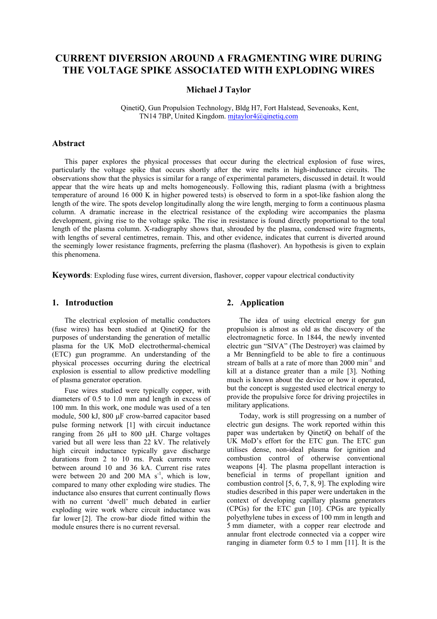# **CURRENT DIVERSION AROUND A FRAGMENTING WIRE DURING THE VOLTAGE SPIKE ASSOCIATED WITH EXPLODING WIRES**

#### **Michael J Taylor**

 QinetiQ, Gun Propulsion Technology, Bldg H7, Fort Halstead, Sevenoaks, Kent, TN14 7BP, United Kingdom. mjtaylor4@qinetiq.com

#### **Abstract**

This paper explores the physical processes that occur during the electrical explosion of fuse wires, particularly the voltage spike that occurs shortly after the wire melts in high-inductance circuits. The observations show that the physics is similar for a range of experimental parameters, discussed in detail. It would appear that the wire heats up and melts homogeneously. Following this, radiant plasma (with a brightness temperature of around 16 000 K in higher powered tests) is observed to form in a spot-like fashion along the length of the wire. The spots develop longitudinally along the wire length, merging to form a continuous plasma column. A dramatic increase in the electrical resistance of the exploding wire accompanies the plasma development, giving rise to the voltage spike. The rise in resistance is found directly proportional to the total length of the plasma column. X-radiography shows that, shrouded by the plasma, condensed wire fragments, with lengths of several centimetres, remain. This, and other evidence, indicates that current is diverted around the seemingly lower resistance fragments, preferring the plasma (flashover). An hypothesis is given to explain this phenomena.

**Keywords**: Exploding fuse wires, current diversion, flashover, copper vapour electrical conductivity

#### **1. Introduction**

The electrical explosion of metallic conductors (fuse wires) has been studied at QinetiQ for the purposes of understanding the generation of metallic plasma for the UK MoD electrothermal-chemical (ETC) gun programme. An understanding of the physical processes occurring during the electrical explosion is essential to allow predictive modelling of plasma generator operation.

Fuse wires studied were typically copper, with diameters of 0.5 to 1.0 mm and length in excess of 100 mm. In this work, one module was used of a ten module, 500 kJ, 800 µF crow-barred capacitor based pulse forming network [1] with circuit inductance ranging from 26 µH to 800 µH. Charge voltages varied but all were less than 22 kV. The relatively high circuit inductance typically gave discharge durations from 2 to 10 ms. Peak currents were between around 10 and 36 kA. Current rise rates were between 20 and 200 MA  $s^{-1}$ , which is low, compared to many other exploding wire studies. The inductance also ensures that current continually flows with no current 'dwell' much debated in earlier exploding wire work where circuit inductance was far lower [2]. The crow-bar diode fitted within the module ensures there is no current reversal.

### **2. Application**

The idea of using electrical energy for gun propulsion is almost as old as the discovery of the electromagnetic force. In 1844, the newly invented electric gun "SIVA" (The Destroyer) was claimed by a Mr Benningfield to be able to fire a continuous stream of balls at a rate of more than  $2000 \text{ min}^{-1}$  and kill at a distance greater than a mile [3]. Nothing much is known about the device or how it operated, but the concept is suggested used electrical energy to provide the propulsive force for driving projectiles in military applications.

Today, work is still progressing on a number of electric gun designs. The work reported within this paper was undertaken by QinetiQ on behalf of the UK MoD's effort for the ETC gun. The ETC gun utilises dense, non-ideal plasma for ignition and combustion control of otherwise conventional weapons [4]. The plasma propellant interaction is beneficial in terms of propellant ignition and combustion control [5, 6, 7, 8, 9]. The exploding wire studies described in this paper were undertaken in the context of developing capillary plasma generators (CPGs) for the ETC gun [10]. CPGs are typically polyethylene tubes in excess of 100 mm in length and 5 mm diameter, with a copper rear electrode and annular front electrode connected via a copper wire ranging in diameter form 0.5 to 1 mm [11]. It is the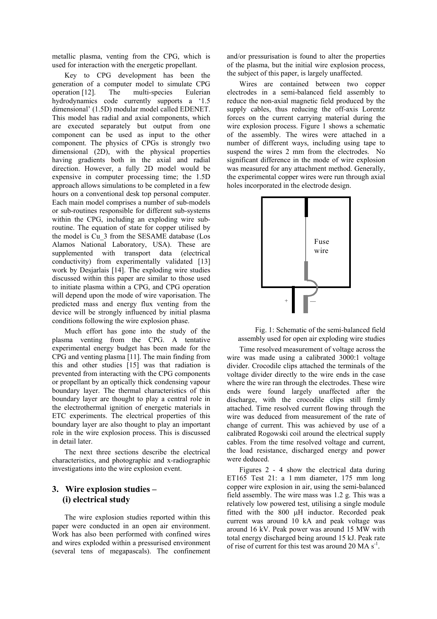metallic plasma, venting from the CPG, which is used for interaction with the energetic propellant.

Key to CPG development has been the generation of a computer model to simulate CPG<br>operation [12]. The multi-species Eulerian operation [12]. The multi-species Eulerian hydrodynamics code currently supports a '1.5 dimensional' (1.5D) modular model called EDENET. This model has radial and axial components, which are executed separately but output from one component can be used as input to the other component. The physics of CPGs is strongly two dimensional (2D), with the physical properties having gradients both in the axial and radial direction. However, a fully 2D model would be expensive in computer processing time; the 1.5D approach allows simulations to be completed in a few hours on a conventional desk top personal computer. Each main model comprises a number of sub-models or sub-routines responsible for different sub-systems within the CPG, including an exploding wire subroutine. The equation of state for copper utilised by the model is Cu\_3 from the SESAME database (Los Alamos National Laboratory, USA). These are supplemented with transport data (electrical conductivity) from experimentally validated [13] work by Desjarlais [14]. The exploding wire studies discussed within this paper are similar to those used to initiate plasma within a CPG, and CPG operation will depend upon the mode of wire vaporisation. The predicted mass and energy flux venting from the device will be strongly influenced by initial plasma conditions following the wire explosion phase.

Much effort has gone into the study of the plasma venting from the CPG. A tentative experimental energy budget has been made for the CPG and venting plasma [11]. The main finding from this and other studies [15] was that radiation is prevented from interacting with the CPG components or propellant by an optically thick condensing vapour boundary layer. The thermal characteristics of this boundary layer are thought to play a central role in the electrothermal ignition of energetic materials in ETC experiments. The electrical properties of this boundary layer are also thought to play an important role in the wire explosion process. This is discussed in detail later.

The next three sections describe the electrical characteristics, and photographic and x-radiographic investigations into the wire explosion event.

### **3. Wire explosion studies – (i) electrical study**

The wire explosion studies reported within this paper were conducted in an open air environment. Work has also been performed with confined wires and wires exploded within a pressurised environment (several tens of megapascals). The confinement and/or pressurisation is found to alter the properties of the plasma, but the initial wire explosion process, the subject of this paper, is largely unaffected.

Wires are contained between two copper electrodes in a semi-balanced field assembly to reduce the non-axial magnetic field produced by the supply cables, thus reducing the off-axis Lorentz forces on the current carrying material during the wire explosion process. Figure 1 shows a schematic of the assembly. The wires were attached in a number of different ways, including using tape to suspend the wires 2 mm from the electrodes. No significant difference in the mode of wire explosion was measured for any attachment method. Generally, the experimental copper wires were run through axial holes incorporated in the electrode design.



Fig. 1: Schematic of the semi-balanced field assembly used for open air exploding wire studies

Time resolved measurement of voltage across the wire was made using a calibrated 3000:1 voltage divider. Crocodile clips attached the terminals of the voltage divider directly to the wire ends in the case where the wire ran through the electrodes. These wire ends were found largely unaffected after the discharge, with the crocodile clips still firmly attached. Time resolved current flowing through the wire was deduced from measurement of the rate of change of current. This was achieved by use of a calibrated Rogowski coil around the electrical supply cables. From the time resolved voltage and current, the load resistance, discharged energy and power were deduced.

Figures 2 - 4 show the electrical data during ET165 Test 21: a 1 mm diameter, 175 mm long copper wire explosion in air, using the semi-balanced field assembly. The wire mass was 1.2 g. This was a relatively low powered test, utilising a single module fitted with the 800 µH inductor. Recorded peak current was around 10 kA and peak voltage was around 16 kV. Peak power was around 15 MW with total energy discharged being around 15 kJ. Peak rate of rise of current for this test was around 20 MA s<sup>-1</sup>.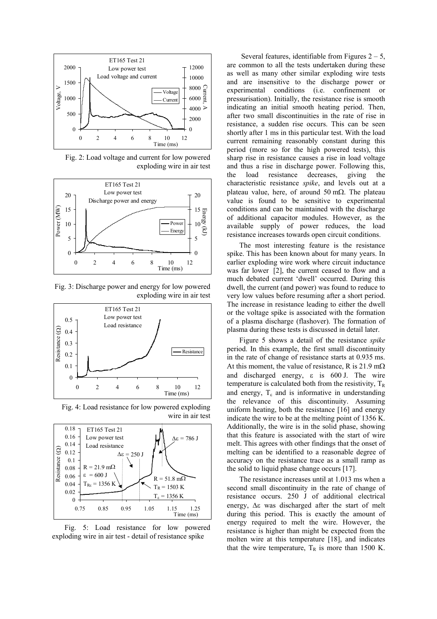

Fig. 2: Load voltage and current for low powered exploding wire in air test



Fig. 3: Discharge power and energy for low powered exploding wire in air test



Fig. 4: Load resistance for low powered exploding wire in air test



Fig. 5: Load resistance for low powered exploding wire in air test - detail of resistance spike

Several features, identifiable from Figures  $2 - 5$ , are common to all the tests undertaken during these as well as many other similar exploding wire tests and are insensitive to the discharge power or experimental conditions (i.e. confinement or pressurisation). Initially, the resistance rise is smooth indicating an initial smooth heating period. Then, after two small discontinuities in the rate of rise in resistance, a sudden rise occurs. This can be seen shortly after 1 ms in this particular test. With the load current remaining reasonably constant during this period (more so for the high powered tests), this sharp rise in resistance causes a rise in load voltage and thus a rise in discharge power. Following this, the load resistance decreases, giving the characteristic resistance *spike*, and levels out at a plateau value, here, of around 50 m $\Omega$ . The plateau value is found to be sensitive to experimental conditions and can be maintained with the discharge of additional capacitor modules. However, as the available supply of power reduces, the load resistance increases towards open circuit conditions.

The most interesting feature is the resistance spike. This has been known about for many years. In earlier exploding wire work where circuit inductance was far lower [2], the current ceased to flow and a much debated current 'dwell' occurred. During this dwell, the current (and power) was found to reduce to very low values before resuming after a short period. The increase in resistance leading to either the dwell or the voltage spike is associated with the formation of a plasma discharge (flashover). The formation of plasma during these tests is discussed in detail later.

Figure 5 shows a detail of the resistance *spike* period. In this example, the first small discontinuity in the rate of change of resistance starts at 0.935 ms. At this moment, the value of resistance, R is 21.9 m $\Omega$ and discharged energy, ε is 600 J. The wire temperature is calculated both from the resistivity,  $T_R$ and energy,  $T_{\epsilon}$  and is informative in understanding the relevance of this discontinuity. Assuming uniform heating, both the resistance [16] and energy indicate the wire to be at the melting point of 1356 K. Additionally, the wire is in the solid phase, showing that this feature is associated with the start of wire melt. This agrees with other findings that the onset of melting can be identified to a reasonable degree of accuracy on the resistance trace as a small ramp as the solid to liquid phase change occurs [17].

The resistance increases until at 1.013 ms when a second small discontinuity in the rate of change of resistance occurs. 250 J of additional electrical energy, ∆ε was discharged after the start of melt during this period. This is exactly the amount of energy required to melt the wire. However, the resistance is higher than might be expected from the molten wire at this temperature [18], and indicates that the wire temperature,  $T_R$  is more than 1500 K.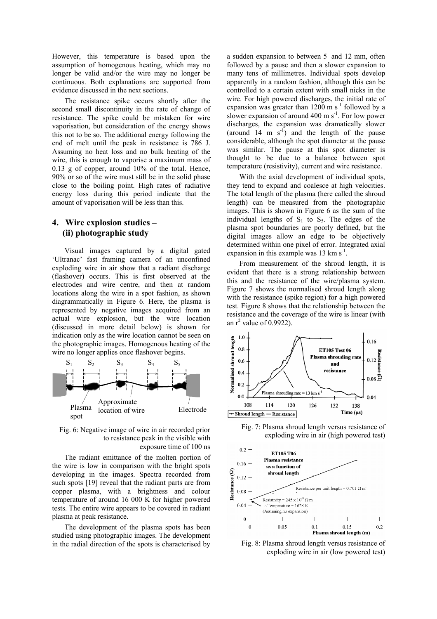However, this temperature is based upon the assumption of homogenous heating, which may no longer be valid and/or the wire may no longer be continuous. Both explanations are supported from evidence discussed in the next sections.

The resistance spike occurs shortly after the second small discontinuity in the rate of change of resistance. The spike could be mistaken for wire vaporisation, but consideration of the energy shows this not to be so. The additional energy following the end of melt until the peak in resistance is 786 J. Assuming no heat loss and no bulk heating of the wire, this is enough to vaporise a maximum mass of 0.13 g of copper, around 10% of the total. Hence, 90% or so of the wire must still be in the solid phase close to the boiling point. High rates of radiative energy loss during this period indicate that the amount of vaporisation will be less than this.

# **4. Wire explosion studies – (ii) photographic study**

Visual images captured by a digital gated 'Ultranac' fast framing camera of an unconfined exploding wire in air show that a radiant discharge (flashover) occurs. This is first observed at the electrodes and wire centre, and then at random locations along the wire in a spot fashion, as shown diagrammatically in Figure 6. Here, the plasma is represented by negative images acquired from an actual wire explosion, but the wire location (discussed in more detail below) is shown for indication only as the wire location cannot be seen on the photographic images. Homogenous heating of the wire no longer applies once flashover begins.



Fig. 6: Negative image of wire in air recorded prior to resistance peak in the visible with exposure time of 100 ns

The radiant emittance of the molten portion of the wire is low in comparison with the bright spots developing in the images. Spectra recorded from such spots [19] reveal that the radiant parts are from copper plasma, with a brightness and colour temperature of around 16 000 K for higher powered tests. The entire wire appears to be covered in radiant plasma at peak resistance.

The development of the plasma spots has been studied using photographic images. The development in the radial direction of the spots is characterised by

a sudden expansion to between 5 and 12 mm, often followed by a pause and then a slower expansion to many tens of millimetres. Individual spots develop apparently in a random fashion, although this can be controlled to a certain extent with small nicks in the wire. For high powered discharges, the initial rate of expansion was greater than  $1200 \text{ m s}^{-1}$  followed by a slower expansion of around  $400 \text{ m s}^{-1}$ . For low power discharges, the expansion was dramatically slower (around 14 m  $s^{-1}$ ) and the length of the pause considerable, although the spot diameter at the pause was similar. The pause at this spot diameter is thought to be due to a balance between spot temperature (resistivity), current and wire resistance.

With the axial development of individual spots, they tend to expand and coalesce at high velocities. The total length of the plasma (here called the shroud length) can be measured from the photographic images. This is shown in Figure 6 as the sum of the individual lengths of  $S_1$  to  $S_5$ . The edges of the plasma spot boundaries are poorly defined, but the digital images allow an edge to be objectively determined within one pixel of error. Integrated axial expansion in this example was  $13 \text{ km s}^{-1}$ .

From measurement of the shroud length, it is evident that there is a strong relationship between this and the resistance of the wire/plasma system. Figure 7 shows the normalised shroud length along with the resistance (spike region) for a high powered test. Figure 8 shows that the relationship between the resistance and the coverage of the wire is linear (with an  $r^2$  value of 0.9922).



Fig. 7: Plasma shroud length versus resistance of exploding wire in air (high powered test)



Fig. 8: Plasma shroud length versus resistance of exploding wire in air (low powered test)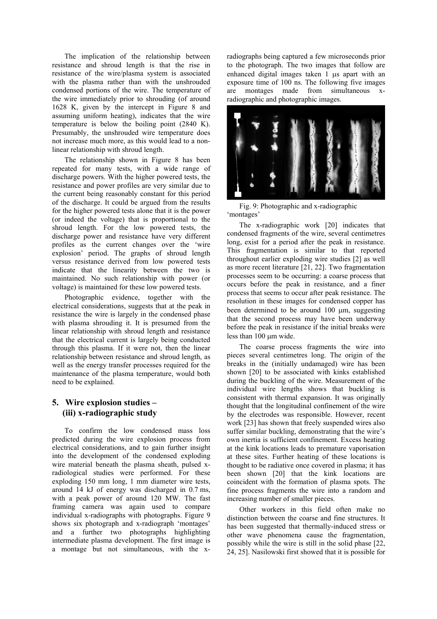The implication of the relationship between resistance and shroud length is that the rise in resistance of the wire/plasma system is associated with the plasma rather than with the unshrouded condensed portions of the wire. The temperature of the wire immediately prior to shrouding (of around 1628 K, given by the intercept in Figure 8 and assuming uniform heating), indicates that the wire temperature is below the boiling point (2840 K). Presumably, the unshrouded wire temperature does not increase much more, as this would lead to a nonlinear relationship with shroud length.

The relationship shown in Figure 8 has been repeated for many tests, with a wide range of discharge powers. With the higher powered tests, the resistance and power profiles are very similar due to the current being reasonably constant for this period of the discharge. It could be argued from the results for the higher powered tests alone that it is the power (or indeed the voltage) that is proportional to the shroud length. For the low powered tests, the discharge power and resistance have very different profiles as the current changes over the 'wire explosion' period. The graphs of shroud length versus resistance derived from low powered tests indicate that the linearity between the two is maintained. No such relationship with power (or voltage) is maintained for these low powered tests.

Photographic evidence, together with the electrical considerations, suggests that at the peak in resistance the wire is largely in the condensed phase with plasma shrouding it. It is presumed from the linear relationship with shroud length and resistance that the electrical current is largely being conducted through this plasma. If it were not, then the linear relationship between resistance and shroud length, as well as the energy transfer processes required for the maintenance of the plasma temperature, would both need to be explained.

# **5. Wire explosion studies – (iii) x-radiographic study**

To confirm the low condensed mass loss predicted during the wire explosion process from electrical considerations, and to gain further insight into the development of the condensed exploding wire material beneath the plasma sheath, pulsed xradiological studies were performed. For these exploding 150 mm long, 1 mm diameter wire tests, around 14 kJ of energy was discharged in 0.7 ms, with a peak power of around 120 MW. The fast framing camera was again used to compare individual x-radiographs with photographs. Figure 9 shows six photograph and x-radiograph 'montages' and a further two photographs highlighting intermediate plasma development. The first image is a montage but not simultaneous, with the xradiographs being captured a few microseconds prior to the photograph. The two images that follow are enhanced digital images taken 1 µs apart with an exposure time of 100 ns. The following five images are montages made from simultaneous xradiographic and photographic images.



Fig. 9: Photographic and x-radiographic 'montages'

The x-radiographic work [20] indicates that condensed fragments of the wire, several centimetres long, exist for a period after the peak in resistance. This fragmentation is similar to that reported throughout earlier exploding wire studies [2] as well as more recent literature [21, 22]. Two fragmentation processes seem to be occurring: a coarse process that occurs before the peak in resistance, and a finer process that seems to occur after peak resistance. The resolution in these images for condensed copper has been determined to be around 100  $\mu$ m, suggesting that the second process may have been underway before the peak in resistance if the initial breaks were less than 100 um wide.

The coarse process fragments the wire into pieces several centimetres long. The origin of the breaks in the (initially undamaged) wire has been shown [20] to be associated with kinks established during the buckling of the wire. Measurement of the individual wire lengths shows that buckling is consistent with thermal expansion. It was originally thought that the longitudinal confinement of the wire by the electrodes was responsible. However, recent work [23] has shown that freely suspended wires also suffer similar buckling, demonstrating that the wire's own inertia is sufficient confinement. Excess heating at the kink locations leads to premature vaporisation at these sites. Further heating of these locations is thought to be radiative once covered in plasma; it has been shown [20] that the kink locations are coincident with the formation of plasma spots. The fine process fragments the wire into a random and increasing number of smaller pieces.

Other workers in this field often make no distinction between the coarse and fine structures. It has been suggested that thermally-induced stress or other wave phenomena cause the fragmentation, possibly while the wire is still in the solid phase [22, 24, 25]. Nasilowski first showed that it is possible for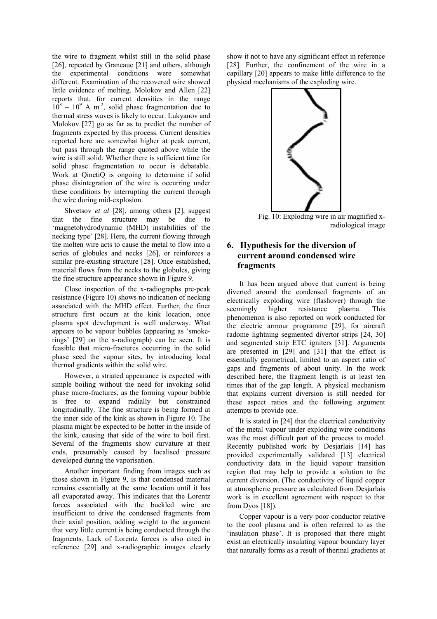the wire to fragment whilst still in the solid phase [26], repeated by Graneaue [21] and others, although the experimental conditions were somewhat different. Examination of the recovered wire showed little evidence of melting. Molokov and Allen [22] reports that, for current densities in the range  $10^8 - 10^9$  A m<sup>-2</sup>, solid phase fragmentation due to thermal stress waves is likely to occur. Lukyanov and Molokov [27] go as far as to predict the number of fragments expected by this process. Current densities reported here are somewhat higher at peak current, but pass through the range quoted above while the wire is still solid. Whether there is sufficient time for solid phase fragmentation to occur is debatable. Work at QinetiQ is ongoing to determine if solid phase disintegration of the wire is occurring under these conditions by interrupting the current through the wire during mid-explosion.

Shvetsov *et al* [28], among others [2], suggest that the fine structure may be due to 'magnetohydrodynamic (MHD) instabilities of the necking type' [28]. Here, the current flowing through the molten wire acts to cause the metal to flow into a series of globules and necks [26], or reinforces a similar pre-existing structure [28]. Once established, material flows from the necks to the globules, giving the fine structure appearance shown in Figure 9.

Close inspection of the x-radiographs pre-peak resistance (Figure 10) shows no indication of necking associated with the MHD effect. Further, the finer structure first occurs at the kink location, once plasma spot development is well underway. What appears to be vapour bubbles (appearing as 'smokerings' [29] on the x-radiograph) can be seen. It is feasible that micro-fractures occurring in the solid phase seed the vapour sites, by introducing local thermal gradients within the solid wire.

However, a striated appearance is expected with simple boiling without the need for invoking solid phase micro-fractures, as the forming vapour bubble is free to expand radially but constrained longitudinally. The fine structure is being formed at the inner side of the kink as shown in Figure 10. The plasma might be expected to be hotter in the inside of the kink, causing that side of the wire to boil first. Several of the fragments show curvature at their ends, presumably caused by localised pressure developed during the vaporisation.

Another important finding from images such as those shown in Figure 9, is that condensed material remains essentially at the same location until it has all evaporated away. This indicates that the Lorentz forces associated with the buckled wire are insufficient to drive the condensed fragments from their axial position, adding weight to the argument that very little current is being conducted through the fragments. Lack of Lorentz forces is also cited in reference [29] and x-radiographic images clearly

show it not to have any significant effect in reference [28]. Further, the confinement of the wire in a capillary [20] appears to make little difference to the physical mechanisms of the exploding wire.



Fig. 10: Exploding wire in air magnified xradiological image

# **6. Hypothesis for the diversion of current around condensed wire fragments**

It has been argued above that current is being diverted around the condensed fragments of an electrically exploding wire (flashover) through the seemingly higher resistance plasma. This phenomenon is also reported on work conducted for the electric armour programme [29], for aircraft radome lightning segmented divertor strips [24, 30] and segmented strip ETC igniters [31]. Arguments are presented in [29] and [31] that the effect is essentially geometrical, limited to an aspect ratio of gaps and fragments of about unity. In the work described here, the fragment length is at least ten times that of the gap length. A physical mechanism that explains current diversion is still needed for these aspect ratios and the following argument attempts to provide one.

It is stated in [24] that the electrical conductivity of the metal vapour under exploding wire conditions was the most difficult part of the process to model. Recently published work by Desjarlais [14] has provided experimentally validated [13] electrical conductivity data in the liquid vapour transition region that may help to provide a solution to the current diversion. (The conductivity of liquid copper at atmospheric pressure as calculated from Desjarlais work is in excellent agreement with respect to that from Dyos [18]).

Copper vapour is a very poor conductor relative to the cool plasma and is often referred to as the 'insulation phase'. It is proposed that there might exist an electrically insulating vapour boundary layer that naturally forms as a result of thermal gradients at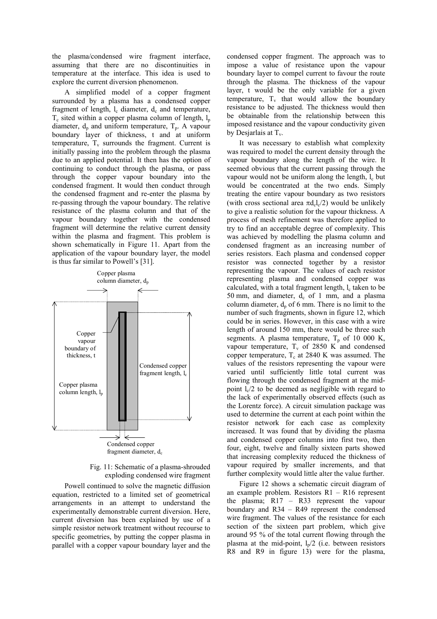the plasma/condensed wire fragment interface, assuming that there are no discontinuities in temperature at the interface. This idea is used to explore the current diversion phenomenon.

A simplified model of a copper fragment surrounded by a plasma has a condensed copper fragment of length,  $l_c$  diameter,  $d_c$  and temperature,  $T_c$  sited within a copper plasma column of length,  $l_p$ diameter,  $d_p$  and uniform temperature,  $T_p$ . A vapour boundary layer of thickness, t and at uniform temperature,  $T_v$  surrounds the fragment. Current is initially passing into the problem through the plasma due to an applied potential. It then has the option of continuing to conduct through the plasma, or pass through the copper vapour boundary into the condensed fragment. It would then conduct through the condensed fragment and re-enter the plasma by re-passing through the vapour boundary. The relative resistance of the plasma column and that of the vapour boundary together with the condensed fragment will determine the relative current density within the plasma and fragment. This problem is shown schematically in Figure 11. Apart from the application of the vapour boundary layer, the model is thus far similar to Powell's [31].



Fig. 11: Schematic of a plasma-shrouded exploding condensed wire fragment

Powell continued to solve the magnetic diffusion equation, restricted to a limited set of geometrical arrangements in an attempt to understand the experimentally demonstrable current diversion. Here, current diversion has been explained by use of a simple resistor network treatment without recourse to specific geometries, by putting the copper plasma in parallel with a copper vapour boundary layer and the condensed copper fragment. The approach was to impose a value of resistance upon the vapour boundary layer to compel current to favour the route through the plasma. The thickness of the vapour layer, t would be the only variable for a given temperature,  $T_v$  that would allow the boundary resistance to be adjusted. The thickness would then be obtainable from the relationship between this imposed resistance and the vapour conductivity given by Desjarlais at  $T_v$ .

It was necessary to establish what complexity was required to model the current density through the vapour boundary along the length of the wire. It seemed obvious that the current passing through the vapour would not be uniform along the length,  $l_c$  but would be concentrated at the two ends. Simply treating the entire vapour boundary as two resistors (with cross sectional area  $\pi d_{\rm c}l_{\rm c}/2$ ) would be unlikely to give a realistic solution for the vapour thickness. A process of mesh refinement was therefore applied to try to find an acceptable degree of complexity. This was achieved by modelling the plasma column and condensed fragment as an increasing number of series resistors. Each plasma and condensed copper resistor was connected together by a resistor representing the vapour. The values of each resistor representing plasma and condensed copper was calculated, with a total fragment length,  $l_c$  taken to be 50 mm, and diameter,  $d_c$  of 1 mm, and a plasma column diameter,  $d_p$  of 6 mm. There is no limit to the number of such fragments, shown in figure 12, which could be in series. However, in this case with a wire length of around 150 mm, there would be three such segments. A plasma temperature,  $T_p$  of 10 000 K, vapour temperature,  $T_v$  of 2850 K and condensed copper temperature,  $T_c$  at 2840 K was assumed. The values of the resistors representing the vapour were varied until sufficiently little total current was flowing through the condensed fragment at the midpoint  $l_c/2$  to be deemed as negligible with regard to the lack of experimentally observed effects (such as the Lorentz force). A circuit simulation package was used to determine the current at each point within the resistor network for each case as complexity increased. It was found that by dividing the plasma and condensed copper columns into first two, then four, eight, twelve and finally sixteen parts showed that increasing complexity reduced the thickness of vapour required by smaller increments, and that further complexity would little alter the value further.

Figure 12 shows a schematic circuit diagram of an example problem. Resistors R1 – R16 represent the plasma; R17 – R33 represent the vapour boundary and R34 – R49 represent the condensed wire fragment. The values of the resistance for each section of the sixteen part problem, which give around 95 % of the total current flowing through the plasma at the mid-point,  $l_n/2$  (i.e. between resistors R8 and R9 in figure 13) were for the plasma,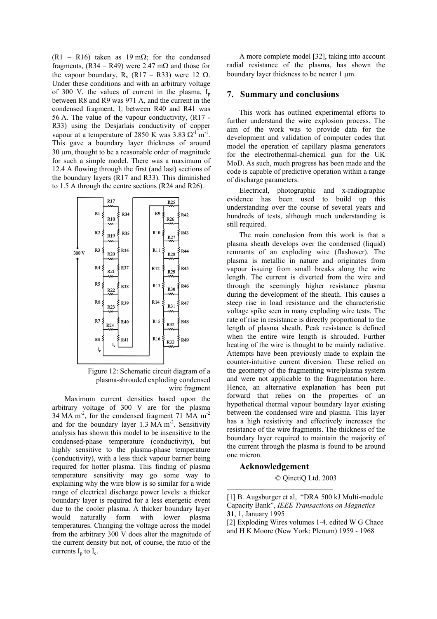(R1 – R16) taken as 19 m $\Omega$ ; for the condensed fragments,  $(R34 - R49)$  were 2.47 m $\Omega$  and those for the vapour boundary,  $R_v$  (R17 – R33) were 12  $\Omega$ . Under these conditions and with an arbitrary voltage of 300 V, the values of current in the plasma,  $I_p$ between R8 and R9 was 971 A, and the current in the condensed fragment,  $I_c$  between R40 and R41 was 56 A. The value of the vapour conductivity, (R17 - R33) using the Desjarlais conductivity of copper vapour at a temperature of 2850 K was  $3.83 \Omega^{-1}$  m<sup>-1</sup>. This gave a boundary layer thickness of around 30 µm, thought to be a reasonable order of magnitude for such a simple model. There was a maximum of 12.4 A flowing through the first (and last) sections of the boundary layers (R17 and R33). This diminished to 1.5 A through the centre sections (R24 and R26).



Figure 12: Schematic circuit diagram of a plasma-shrouded exploding condensed wire fragment

Maximum current densities based upon the arbitrary voltage of 300 V are for the plasma 34 MA m<sup>-2</sup>, for the condensed fragment 71 MA m<sup>-2</sup> and for the boundary layer  $1.3 \text{ MA m}^2$ . Sensitivity analysis has shown this model to be insensitive to the condensed-phase temperature (conductivity), but highly sensitive to the plasma-phase temperature (conductivity), with a less thick vapour barrier being required for hotter plasma. This finding of plasma temperature sensitivity may go some way to explaining why the wire blow is so similar for a wide range of electrical discharge power levels: a thicker boundary layer is required for a less energetic event due to the cooler plasma. A thicker boundary layer would naturally form with lower plasma temperatures. Changing the voltage across the model from the arbitrary 300 V does alter the magnitude of the current density but not, of course, the ratio of the currents  $I_p$  to  $I_c$ .

A more complete model [32], taking into account radial resistance of the plasma, has shown the boundary layer thickness to be nearer 1 µm.

#### **7. Summary and conclusions**

This work has outlined experimental efforts to further understand the wire explosion process. The aim of the work was to provide data for the development and validation of computer codes that model the operation of capillary plasma generators for the electrothermal-chemical gun for the UK MoD. As such, much progress has been made and the code is capable of predictive operation within a range of discharge parameters.

Electrical, photographic and x-radiographic evidence has been used to build up this understanding over the course of several years and hundreds of tests, although much understanding is still required.

The main conclusion from this work is that a plasma sheath develops over the condensed (liquid) remnants of an exploding wire (flashover). The plasma is metallic in nature and originates from vapour issuing from small breaks along the wire length. The current is diverted from the wire and through the seemingly higher resistance plasma during the development of the sheath. This causes a steep rise in load resistance and the characteristic voltage spike seen in many exploding wire tests. The rate of rise in resistance is directly proportional to the length of plasma sheath. Peak resistance is defined when the entire wire length is shrouded. Further heating of the wire is thought to be mainly radiative. Attempts have been previously made to explain the counter-intuitive current diversion. These relied on the geometry of the fragmenting wire/plasma system and were not applicable to the fragmentation here. Hence, an alternative explanation has been put forward that relies on the properties of an hypothetical thermal vapour boundary layer existing between the condensed wire and plasma. This layer has a high resistivity and effectively increases the resistance of the wire fragments. The thickness of the boundary layer required to maintain the majority of the current through the plasma is found to be around one micron.

#### **Acknowledgement**

 $\overline{a}$ 

© QinetiQ Ltd. 2003

<sup>[1]</sup> B. Augsburger et al, "DRA 500 kJ Multi-module Capacity Bank", *IEEE Transactions on Magnetics* **31**, 1, January 1995

<sup>[2]</sup> Exploding Wires volumes 1-4*,* edited W G Chace and H K Moore (New York: Plenum) 1959 - 1968